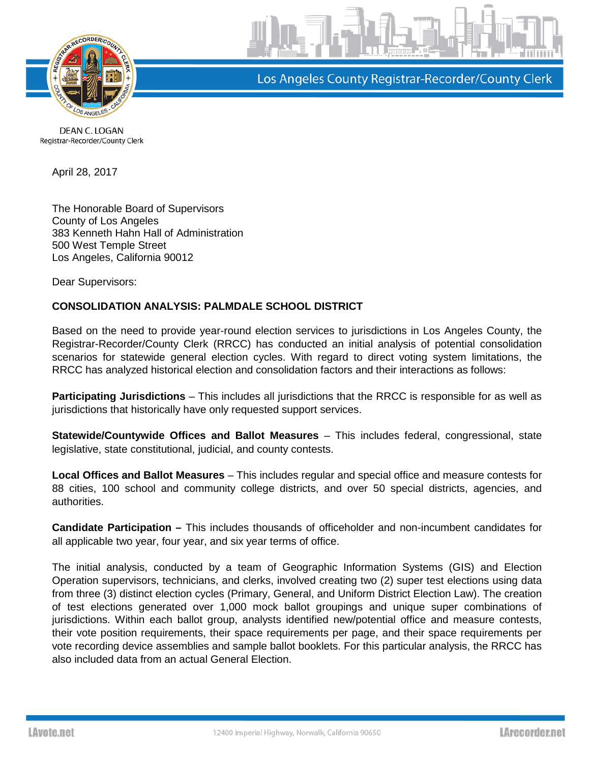

Los Angeles County Registrar-Recorder/County Clerk

DEAN C. LOGAN Registrar-Recorder/County Clerk

April 28, 2017

The Honorable Board of Supervisors County of Los Angeles 383 Kenneth Hahn Hall of Administration 500 West Temple Street Los Angeles, California 90012

Dear Supervisors:

## **CONSOLIDATION ANALYSIS: PALMDALE SCHOOL DISTRICT**

Based on the need to provide year-round election services to jurisdictions in Los Angeles County, the Registrar-Recorder/County Clerk (RRCC) has conducted an initial analysis of potential consolidation scenarios for statewide general election cycles. With regard to direct voting system limitations, the RRCC has analyzed historical election and consolidation factors and their interactions as follows:

**Participating Jurisdictions** – This includes all jurisdictions that the RRCC is responsible for as well as jurisdictions that historically have only requested support services.

**Statewide/Countywide Offices and Ballot Measures** – This includes federal, congressional, state legislative, state constitutional, judicial, and county contests.

**Local Offices and Ballot Measures** – This includes regular and special office and measure contests for 88 cities, 100 school and community college districts, and over 50 special districts, agencies, and authorities.

**Candidate Participation –** This includes thousands of officeholder and non-incumbent candidates for all applicable two year, four year, and six year terms of office.

The initial analysis, conducted by a team of Geographic Information Systems (GIS) and Election Operation supervisors, technicians, and clerks, involved creating two (2) super test elections using data from three (3) distinct election cycles (Primary, General, and Uniform District Election Law). The creation of test elections generated over 1,000 mock ballot groupings and unique super combinations of jurisdictions. Within each ballot group, analysts identified new/potential office and measure contests, their vote position requirements, their space requirements per page, and their space requirements per vote recording device assemblies and sample ballot booklets. For this particular analysis, the RRCC has also included data from an actual General Election.